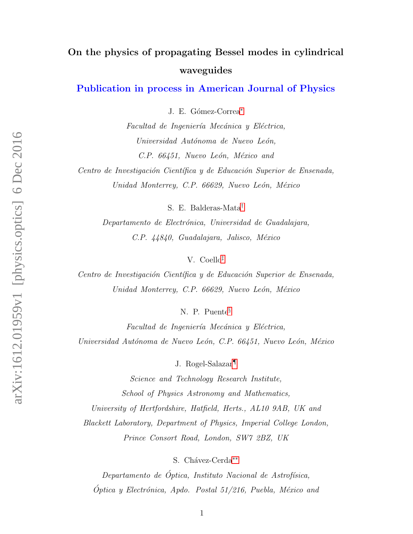# On the physics of propagating Bessel modes in cylindrical waveguides

# Publication in process in American Journal of Physics

J. E. Gómez-Correa<sup>[∗](#page-12-0)</sup>

Facultad de Ingeniería Mecánica y Eléctrica, Universidad Autónoma de Nuevo León, C.P. 66451, Nuevo León, México and

Centro de Investigación Científica y de Educación Superior de Ensenada, Unidad Monterrey, C.P. 66629, Nuevo León, México

S. E. Balderas-Mata[†](#page-12-1)

Departamento de Electrónica, Universidad de Guadalajara, C.P. 44840, Guadalajara, Jalisco, México

V. Coello[‡](#page-12-2)

Centro de Investigación Científica y de Educación Superior de Ensenada, Unidad Monterrey, C.P. 66629, Nuevo León, México

N. P. Puente[§](#page-12-3)

Facultad de Ingeniería Mecánica y Eléctrica, Universidad Autónoma de Nuevo León, C.P. 66451, Nuevo León, México

J. Rogel-Salazar[¶](#page-12-4)

Science and Technology Research Institute, School of Physics Astronomy and Mathematics, University of Hertfordshire, Hatfield, Herts., AL10 9AB, UK and Blackett Laboratory, Department of Physics, Imperial College London, Prince Consort Road, London, SW7 2BZ, UK

S. Chávez-Cerda<sup>[∗∗](#page-12-5)</sup>

 $Departmento de' Optica, Institute Nacional de Astrofísica,$  $\dot{Q}$ ptica y Electrónica, Apdo. Postal 51/216, Puebla, México and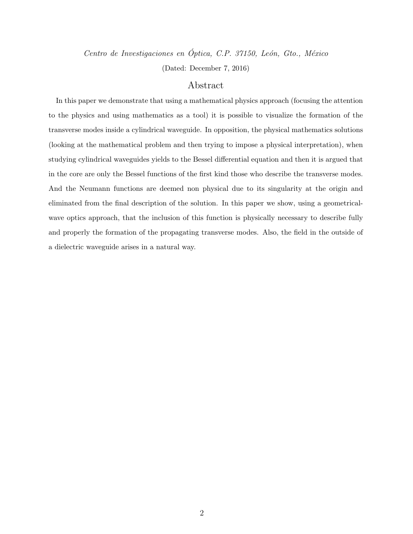Centro de Investigaciones en Óptica, C.P. 37150, León, Gto., México (Dated: December 7, 2016)

## Abstract

In this paper we demonstrate that using a mathematical physics approach (focusing the attention to the physics and using mathematics as a tool) it is possible to visualize the formation of the transverse modes inside a cylindrical waveguide. In opposition, the physical mathematics solutions (looking at the mathematical problem and then trying to impose a physical interpretation), when studying cylindrical waveguides yields to the Bessel differential equation and then it is argued that in the core are only the Bessel functions of the first kind those who describe the transverse modes. And the Neumann functions are deemed non physical due to its singularity at the origin and eliminated from the final description of the solution. In this paper we show, using a geometricalwave optics approach, that the inclusion of this function is physically necessary to describe fully and properly the formation of the propagating transverse modes. Also, the field in the outside of a dielectric waveguide arises in a natural way.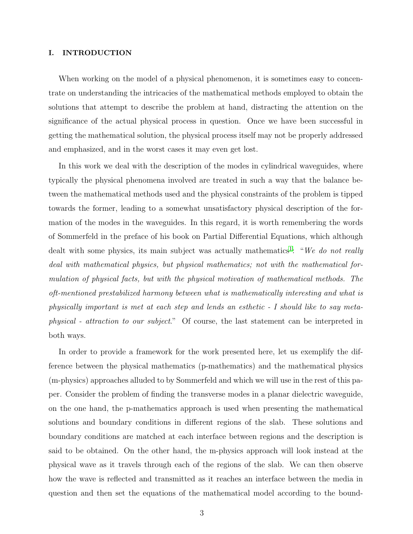#### I. INTRODUCTION

When working on the model of a physical phenomenon, it is sometimes easy to concentrate on understanding the intricacies of the mathematical methods employed to obtain the solutions that attempt to describe the problem at hand, distracting the attention on the significance of the actual physical process in question. Once we have been successful in getting the mathematical solution, the physical process itself may not be properly addressed and emphasized, and in the worst cases it may even get lost.

In this work we deal with the description of the modes in cylindrical waveguides, where typically the physical phenomena involved are treated in such a way that the balance between the mathematical methods used and the physical constraints of the problem is tipped towards the former, leading to a somewhat unsatisfactory physical description of the formation of the modes in the waveguides. In this regard, it is worth remembering the words of Sommerfeld in the preface of his book on Partial Differential Equations, which although dealt with some physics, its main subject was actually mathematics<sup>[1](#page-12-6)</sup>: "We do not really deal with mathematical physics, but physical mathematics; not with the mathematical formulation of physical facts, but with the physical motivation of mathematical methods. The oft-mentioned prestabilized harmony between what is mathematically interesting and what is physically important is met at each step and lends an esthetic - I should like to say metaphysical - attraction to our subject." Of course, the last statement can be interpreted in both ways.

In order to provide a framework for the work presented here, let us exemplify the difference between the physical mathematics (p-mathematics) and the mathematical physics (m-physics) approaches alluded to by Sommerfeld and which we will use in the rest of this paper. Consider the problem of finding the transverse modes in a planar dielectric waveguide, on the one hand, the p-mathematics approach is used when presenting the mathematical solutions and boundary conditions in different regions of the slab. These solutions and boundary conditions are matched at each interface between regions and the description is said to be obtained. On the other hand, the m-physics approach will look instead at the physical wave as it travels through each of the regions of the slab. We can then observe how the wave is reflected and transmitted as it reaches an interface between the media in question and then set the equations of the mathematical model according to the bound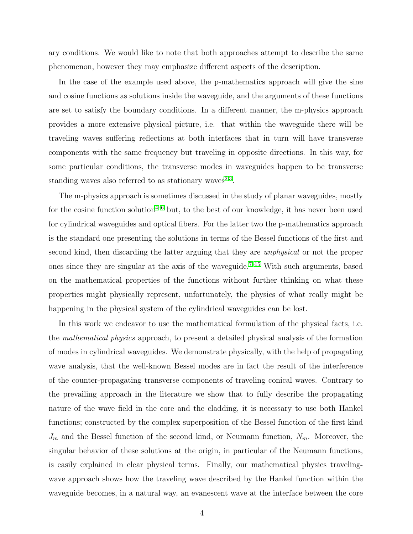ary conditions. We would like to note that both approaches attempt to describe the same phenomenon, however they may emphasize different aspects of the description.

In the case of the example used above, the p-mathematics approach will give the sine and cosine functions as solutions inside the waveguide, and the arguments of these functions are set to satisfy the boundary conditions. In a different manner, the m-physics approach provides a more extensive physical picture, i.e. that within the waveguide there will be traveling waves suffering reflections at both interfaces that in turn will have transverse components with the same frequency but traveling in opposite directions. In this way, for some particular conditions, the transverse modes in waveguides happen to be transverse standing waves also referred to as stationary waves<sup>[2](#page-12-7)[,3](#page-12-8)</sup>.

The m-physics approach is sometimes discussed in the study of planar waveguides, mostly for the cosine function solution<sup> $4-6$  $4-6$ </sup> but, to the best of our knowledge, it has never been used for cylindrical waveguides and optical fibers. For the latter two the p-mathematics approach is the standard one presenting the solutions in terms of the Bessel functions of the first and second kind, then discarding the latter arguing that they are unphysical or not the proper ones since they are singular at the axis of the waveguide.<sup> $7-15$  $7-15$ </sup> With such arguments, based on the mathematical properties of the functions without further thinking on what these properties might physically represent, unfortunately, the physics of what really might be happening in the physical system of the cylindrical waveguides can be lost.

In this work we endeavor to use the mathematical formulation of the physical facts, i.e. the mathematical physics approach, to present a detailed physical analysis of the formation of modes in cylindrical waveguides. We demonstrate physically, with the help of propagating wave analysis, that the well-known Bessel modes are in fact the result of the interference of the counter-propagating transverse components of traveling conical waves. Contrary to the prevailing approach in the literature we show that to fully describe the propagating nature of the wave field in the core and the cladding, it is necessary to use both Hankel functions; constructed by the complex superposition of the Bessel function of the first kind  $J_m$  and the Bessel function of the second kind, or Neumann function,  $N_m$ . Moreover, the singular behavior of these solutions at the origin, in particular of the Neumann functions, is easily explained in clear physical terms. Finally, our mathematical physics travelingwave approach shows how the traveling wave described by the Hankel function within the waveguide becomes, in a natural way, an evanescent wave at the interface between the core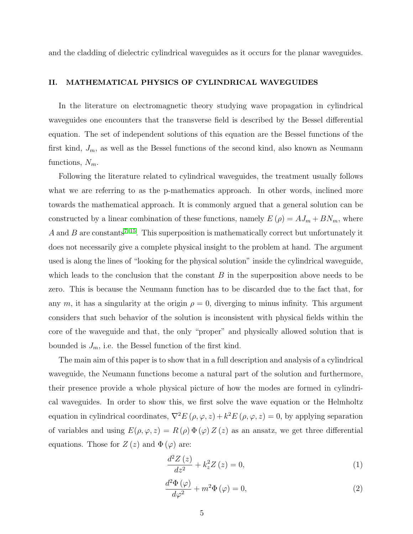and the cladding of dielectric cylindrical waveguides as it occurs for the planar waveguides.

#### II. MATHEMATICAL PHYSICS OF CYLINDRICAL WAVEGUIDES

In the literature on electromagnetic theory studying wave propagation in cylindrical waveguides one encounters that the transverse field is described by the Bessel differential equation. The set of independent solutions of this equation are the Bessel functions of the first kind,  $J_m$ , as well as the Bessel functions of the second kind, also known as Neumann functions,  $N_m$ .

Following the literature related to cylindrical waveguides, the treatment usually follows what we are referring to as the p-mathematics approach. In other words, inclined more towards the mathematical approach. It is commonly argued that a general solution can be constructed by a linear combination of these functions, namely  $E(\rho) = AJ_m + BN_m$ , where A and B are constants<sup>[7](#page-12-11)-15</sup>. This superposition is mathematically correct but unfortunately it does not necessarily give a complete physical insight to the problem at hand. The argument used is along the lines of "looking for the physical solution" inside the cylindrical waveguide, which leads to the conclusion that the constant  $B$  in the superposition above needs to be zero. This is because the Neumann function has to be discarded due to the fact that, for any m, it has a singularity at the origin  $\rho = 0$ , diverging to minus infinity. This argument considers that such behavior of the solution is inconsistent with physical fields within the core of the waveguide and that, the only "proper" and physically allowed solution that is bounded is  $J_m$ , i.e. the Bessel function of the first kind.

The main aim of this paper is to show that in a full description and analysis of a cylindrical waveguide, the Neumann functions become a natural part of the solution and furthermore, their presence provide a whole physical picture of how the modes are formed in cylindrical waveguides. In order to show this, we first solve the wave equation or the Helmholtz equation in cylindrical coordinates,  $\nabla^2 E(\rho, \varphi, z) + k^2 E(\rho, \varphi, z) = 0$ , by applying separation of variables and using  $E(\rho, \varphi, z) = R(\rho) \Phi(\varphi) Z(z)$  as an ansatz, we get three differential equations. Those for  $Z(z)$  and  $\Phi(\varphi)$  are:

$$
\frac{d^2Z(z)}{dz^2} + k_z^2 Z(z) = 0,
$$
\n(1)

$$
\frac{d^2\Phi\left(\varphi\right)}{d\varphi^2} + m^2\Phi\left(\varphi\right) = 0,\tag{2}
$$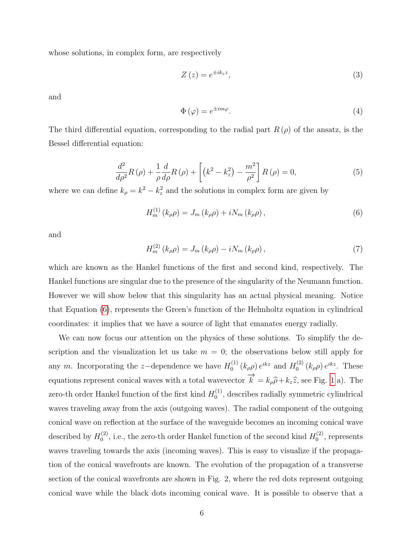whose solutions, in complex form, are respectively

$$
Z\left(z\right) = e^{\pm ik_z z},\tag{3}
$$

and

$$
\Phi\left(\varphi\right) = e^{\pm im\varphi}.\tag{4}
$$

The third differential equation, corresponding to the radial part  $R(\rho)$  of the ansatz, is the Bessel differential equation:

$$
\frac{d^2}{d\rho^2}R(\rho) + \frac{1}{\rho}\frac{d}{d\rho}R(\rho) + \left[ \left(k^2 - k_z^2\right) - \frac{m^2}{\rho^2} \right]R(\rho) = 0,\tag{5}
$$

where we can define  $k_{\rho} = k^2 - k_z^2$  and the solutions in complex form are given by

<span id="page-5-0"></span>
$$
H_{m}^{(1)}\left(k_{\rho}\rho\right) = J_{m}\left(k_{\rho}\rho\right) + iN_{m}\left(k_{\rho}\rho\right),\tag{6}
$$

and

<span id="page-5-1"></span>
$$
H_{m}^{(2)}\left(k_{\rho}\rho\right) = J_{m}\left(k_{\rho}\rho\right) - iN_{m}\left(k_{\rho}\rho\right),\tag{7}
$$

which are known as the Hankel functions of the first and second kind, respectively. The Hankel functions are singular due to the presence of the singularity of the Neumann function. However we will show below that this singularity has an actual physical meaning. Notice that Equation [\(6\)](#page-5-0), represents the Green's function of the Helmholtz equation in cylindrical coordinates: it implies that we have a source of light that emanates energy radially.

We can now focus our attention on the physics of these solutions. To simplify the description and the visualization let us take  $m = 0$ ; the observations below still apply for any m. Incorporating the z-dependence we have  $H_0^{(1)}$  $_{0}^{(1)}\left( k_{\rho}\rho\right) e^{ikz}$  and  $H_{0}^{(2)}$  $e^{(2)}_0(k_\rho \rho) e^{ikz}$ . These equations represent conical waves with a total wavevector  $\overrightarrow{k} = k_{\rho}\widehat{\rho} + k_{z}\widehat{z}$ , see Fig. [1](#page-6-0) a). The zero-th order Hankel function of the first kind  $H_0^{(1)}$  $_0^{(1)}$ , describes radially symmetric cylindrical waves traveling away from the axis (outgoing waves). The radial component of the outgoing conical wave on reflection at the surface of the waveguide becomes an incoming conical wave described by  $H_0^{(2)}$  $\mathcal{L}_0^{(2)}$ , i.e., the zero-th order Hankel function of the second kind  $H_0^{(2)}$  $\binom{1}{0}$ , represents waves traveling towards the axis (incoming waves). This is easy to visualize if the propagation of the conical wavefronts are known. The evolution of the propagation of a transverse section of the conical wavefronts are shown in Fig. 2, where the red dots represent outgoing conical wave while the black dots incoming conical wave. It is possible to observe that a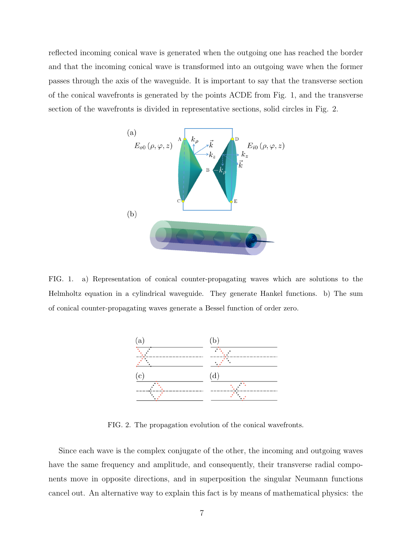reflected incoming conical wave is generated when the outgoing one has reached the border and that the incoming conical wave is transformed into an outgoing wave when the former passes through the axis of the waveguide. It is important to say that the transverse section of the conical wavefronts is generated by the points ACDE from Fig. 1, and the transverse section of the wavefronts is divided in representative sections, solid circles in Fig. 2.



<span id="page-6-0"></span>FIG. 1. a) Representation of conical counter-propagating waves which are solutions to the Helmholtz equation in a cylindrical waveguide. They generate Hankel functions. b) The sum of conical counter-propagating waves generate a Bessel function of order zero.



FIG. 2. The propagation evolution of the conical wavefronts.

Since each wave is the complex conjugate of the other, the incoming and outgoing waves have the same frequency and amplitude, and consequently, their transverse radial components move in opposite directions, and in superposition the singular Neumann functions cancel out. An alternative way to explain this fact is by means of mathematical physics: the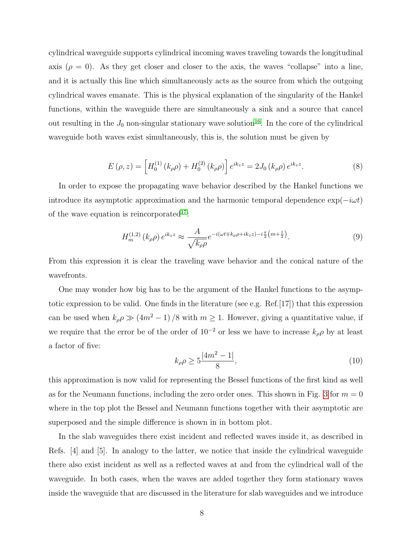cylindrical waveguide supports cylindrical incoming waves traveling towards the longitudinal axis ( $\rho = 0$ ). As they get closer and closer to the axis, the waves "collapse" into a line, and it is actually this line which simultaneously acts as the source from which the outgoing cylindrical waves emanate. This is the physical explanation of the singularity of the Hankel functions, within the waveguide there are simultaneously a sink and a source that cancel out resulting in the  $J_0$  non-singular stationary wave solution<sup>[16](#page-13-1)</sup>. In the core of the cylindrical waveguide both waves exist simultaneously, this is, the solution must be given by

<span id="page-7-0"></span>
$$
E(\rho, z) = \left[ H_0^{(1)}(k_{\rho}\rho) + H_0^{(2)}(k_{\rho}\rho) \right] e^{ik_z z} = 2J_0(k_{\rho}\rho) e^{ik_z z}.
$$
 (8)

In order to expose the propagating wave behavior described by the Hankel functions we introduce its asymptotic approximation and the harmonic temporal dependence  $\exp(-i\omega t)$ of the wave equation is reincorporated<sup>[17](#page-13-2)</sup>:

$$
H_m^{(1,2)}\left(k_\rho\rho\right)e^{ik_zz} \approx \frac{A}{\sqrt{k_\rho\rho}}e^{-i(\omega t \mp k_\rho\rho + ik_z z) - i\frac{\pi}{2}\left(m + \frac{1}{2}\right)}.
$$
\n
$$
(9)
$$

From this expression it is clear the traveling wave behavior and the conical nature of the wavefronts.

One may wonder how big has to be the argument of the Hankel functions to the asymptotic expression to be valid. One finds in the literature (see e.g. Ref.[17]) that this expression can be used when  $k_{\rho} \rho \gg (4m^2 - 1)/8$  with  $m \ge 1$ . However, giving a quantitative value, if we require that the error be of the order of  $10^{-2}$  or less we have to increase  $k_{\rho}\rho$  by at least a factor of five:

$$
k_{\rho}\rho \ge 5\frac{|4m^2 - 1|}{8},\tag{10}
$$

this approximation is now valid for representing the Bessel functions of the first kind as well as for the Neumann functions, including the zero order ones. This shown in Fig. [3](#page-8-0) for  $m = 0$ where in the top plot the Bessel and Neumann functions together with their asymptotic are superposed and the simple difference is shown in in bottom plot.

In the slab waveguides there exist incident and reflected waves inside it, as described in Refs. [4] and [5]. In analogy to the latter, we notice that inside the cylindrical waveguide there also exist incident as well as a reflected waves at and from the cylindrical wall of the waveguide. In both cases, when the waves are added together they form stationary waves inside the waveguide that are discussed in the literature for slab waveguides and we introduce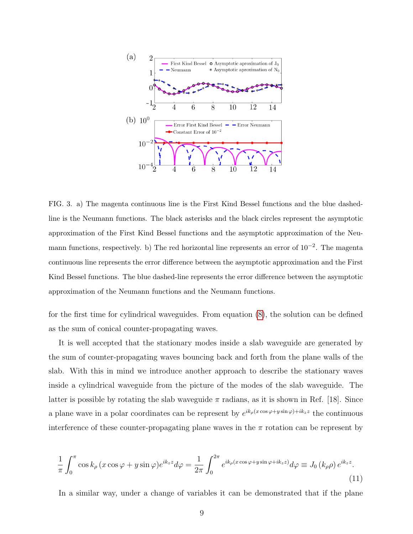

<span id="page-8-0"></span>FIG. 3. a) The magenta continuous line is the First Kind Bessel functions and the blue dashedline is the Neumann functions. The black asterisks and the black circles represent the asymptotic approximation of the First Kind Bessel functions and the asymptotic approximation of the Neumann functions, respectively. b) The red horizontal line represents an error of 10<sup>-2</sup>. The magenta continuous line represents the error difference between the asymptotic approximation and the First Kind Bessel functions. The blue dashed-line represents the error difference between the asymptotic approximation of the Neumann functions and the Neumann functions.

for the first time for cylindrical waveguides. From equation [\(8\)](#page-7-0), the solution can be defined as the sum of conical counter-propagating waves.

It is well accepted that the stationary modes inside a slab waveguide are generated by the sum of counter-propagating waves bouncing back and forth from the plane walls of the slab. With this in mind we introduce another approach to describe the stationary waves inside a cylindrical waveguide from the picture of the modes of the slab waveguide. The latter is possible by rotating the slab waveguide  $\pi$  radians, as it is shown in Ref. [18]. Since a plane wave in a polar coordinates can be represent by  $e^{ik_\rho(x\cos\varphi+y\sin\varphi)+ik_zz}$  the continuous interference of these counter-propagating plane waves in the  $\pi$  rotation can be represent by

<span id="page-8-1"></span>
$$
\frac{1}{\pi} \int_0^\pi \cos k_\rho \left( x \cos \varphi + y \sin \varphi \right) e^{ik_z z} d\varphi = \frac{1}{2\pi} \int_0^{2\pi} e^{ik_\rho (x \cos \varphi + y \sin \varphi + ik_z z)} d\varphi \equiv J_0 \left( k_\rho \rho \right) e^{ik_z z} . \tag{11}
$$

In a similar way, under a change of variables it can be demonstrated that if the plane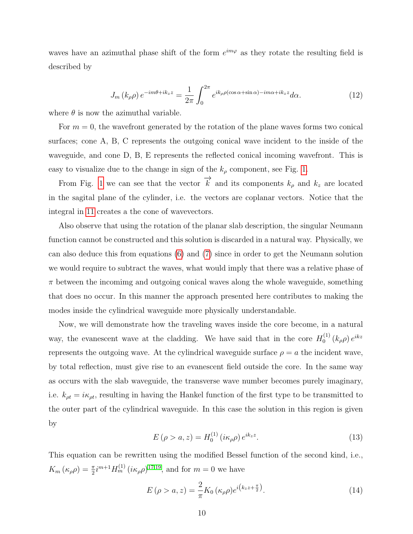waves have an azimuthal phase shift of the form  $e^{im\varphi}$  as they rotate the resulting field is described by

$$
J_m(k_\rho \rho) e^{-im\theta + ik_z z} = \frac{1}{2\pi} \int_0^{2\pi} e^{ik_\rho \rho(\cos\alpha + \sin\alpha) - im\alpha + ik_z z} d\alpha.
$$
 (12)

where  $\theta$  is now the azimuthal variable.

For  $m = 0$ , the wavefront generated by the rotation of the plane waves forms two conical surfaces; cone A, B, C represents the outgoing conical wave incident to the inside of the waveguide, and cone D, B, E represents the reflected conical incoming wavefront. This is easy to visualize due to the change in sign of the  $k_{\rho}$  component, see Fig. [1.](#page-6-0)

From Fig. [1](#page-6-0) we can see that the vector  $\overrightarrow{k}$  and its components  $k_{\rho}$  and  $k_{z}$  are located in the sagital plane of the cylinder, i.e. the vectors are coplanar vectors. Notice that the integral in [11](#page-8-1) creates a the cone of wavevectors.

Also observe that using the rotation of the planar slab description, the singular Neumann function cannot be constructed and this solution is discarded in a natural way. Physically, we can also deduce this from equations [\(6\)](#page-5-0) and [\(7\)](#page-5-1) since in order to get the Neumann solution we would require to subtract the waves, what would imply that there was a relative phase of  $\pi$  between the incoming and outgoing conical waves along the whole waveguide, something that does no occur. In this manner the approach presented here contributes to making the modes inside the cylindrical waveguide more physically understandable.

Now, we will demonstrate how the traveling waves inside the core become, in a natural way, the evanescent wave at the cladding. We have said that in the core  $H_0^{(1)}$  $\int_0^{(1)}\left(k_\rho \rho\right)e^{ikz}$ represents the outgoing wave. At the cylindrical waveguide surface  $\rho = a$  the incident wave, by total reflection, must give rise to an evanescent field outside the core. In the same way as occurs with the slab waveguide, the transverse wave number becomes purely imaginary, i.e.  $k_{\rho t} = i\kappa_{\rho t}$ , resulting in having the Hankel function of the first type to be transmitted to the outer part of the cylindrical waveguide. In this case the solution in this region is given by

$$
E\left(\rho > a, z\right) = H_0^{(1)}\left(i\kappa_\rho \rho\right)e^{ik_z z}.\tag{13}
$$

This equation can be rewritten using the modified Bessel function of the second kind, i.e.,  $K_m(\kappa_\rho \rho) = \frac{\pi}{2} i^{m+1} H_m^{(1)}(i \kappa_\rho \rho)^{17,19}$  $K_m(\kappa_\rho \rho) = \frac{\pi}{2} i^{m+1} H_m^{(1)}(i \kappa_\rho \rho)^{17,19}$  $K_m(\kappa_\rho \rho) = \frac{\pi}{2} i^{m+1} H_m^{(1)}(i \kappa_\rho \rho)^{17,19}$  $K_m(\kappa_\rho \rho) = \frac{\pi}{2} i^{m+1} H_m^{(1)}(i \kappa_\rho \rho)^{17,19}$ , and for  $m = 0$  we have

<span id="page-9-0"></span>
$$
E\left(\rho > a, z\right) = \frac{2}{\pi} K_0\left(\kappa_\rho \rho\right) e^{i\left(k_z z + \frac{\pi}{2}\right)}.
$$
\n(14)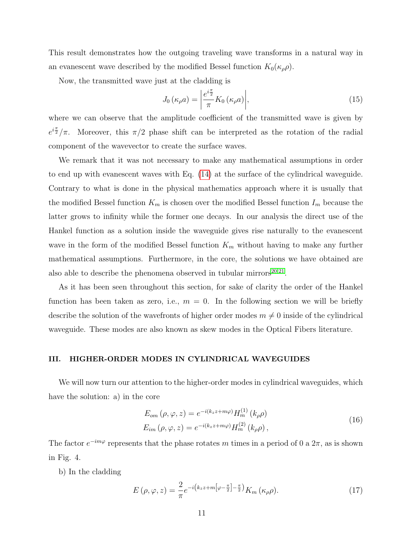This result demonstrates how the outgoing traveling wave transforms in a natural way in an evanescent wave described by the modified Bessel function  $K_0(\kappa_{\rho}\rho)$ .

Now, the transmitted wave just at the cladding is

$$
J_0(\kappa_\rho a) = \left| \frac{e^{i\frac{\pi}{2}}}{\pi} K_0(\kappa_\rho a) \right|,\tag{15}
$$

where we can observe that the amplitude coefficient of the transmitted wave is given by  $e^{i\frac{\pi}{2}}/\pi$ . Moreover, this  $\pi/2$  phase shift can be interpreted as the rotation of the radial component of the wavevector to create the surface waves.

We remark that it was not necessary to make any mathematical assumptions in order to end up with evanescent waves with Eq. [\(14\)](#page-9-0) at the surface of the cylindrical waveguide. Contrary to what is done in the physical mathematics approach where it is usually that the modified Bessel function  $K_m$  is chosen over the modified Bessel function  $I_m$  because the latter grows to infinity while the former one decays. In our analysis the direct use of the Hankel function as a solution inside the waveguide gives rise naturally to the evanescent wave in the form of the modified Bessel function  $K_m$  without having to make any further mathematical assumptions. Furthermore, in the core, the solutions we have obtained are also able to describe the phenomena observed in tubular mirrors $^{20,21}$  $^{20,21}$  $^{20,21}$  $^{20,21}$ .

As it has been seen throughout this section, for sake of clarity the order of the Hankel function has been taken as zero, i.e.,  $m = 0$ . In the following section we will be briefly describe the solution of the wavefronts of higher order modes  $m \neq 0$  inside of the cylindrical waveguide. These modes are also known as skew modes in the Optical Fibers literature.

#### III. HIGHER-ORDER MODES IN CYLINDRICAL WAVEGUIDES

We will now turn our attention to the higher-order modes in cylindrical waveguides, which have the solution: a) in the core

$$
E_{om}(\rho, \varphi, z) = e^{-i(k_z z + m\varphi)} H_m^{(1)}(k_\rho \rho)
$$
  
\n
$$
E_{im}(\rho, \varphi, z) = e^{-i(k_z z + m\varphi)} H_m^{(2)}(k_\rho \rho),
$$
\n(16)

The factor  $e^{-im\varphi}$  represents that the phase rotates m times in a period of 0 a  $2\pi$ , as is shown in Fig. 4.

b) In the cladding

$$
E\left(\rho,\varphi,z\right) = \frac{2}{\pi}e^{-i\left(k_z z + m\left[\varphi - \frac{\pi}{2}\right] - \frac{\pi}{2}\right)}K_m\left(\kappa_\rho\rho\right).
$$
\n(17)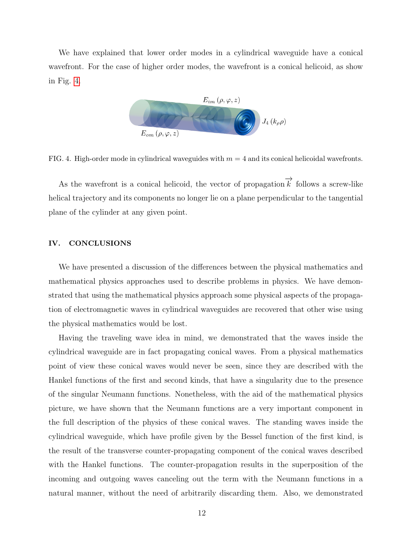We have explained that lower order modes in a cylindrical waveguide have a conical wavefront. For the case of higher order modes, the wavefront is a conical helicoid, as show in Fig. [4.](#page-11-0)



<span id="page-11-0"></span>FIG. 4. High-order mode in cylindrical waveguides with  $m = 4$  and its conical helicoidal wavefronts.

As the wavefront is a conical helicoid, the vector of propagation $\overrightarrow{k}$  follows a screw-like helical trajectory and its components no longer lie on a plane perpendicular to the tangential plane of the cylinder at any given point.

#### IV. CONCLUSIONS

We have presented a discussion of the differences between the physical mathematics and mathematical physics approaches used to describe problems in physics. We have demonstrated that using the mathematical physics approach some physical aspects of the propagation of electromagnetic waves in cylindrical waveguides are recovered that other wise using the physical mathematics would be lost.

Having the traveling wave idea in mind, we demonstrated that the waves inside the cylindrical waveguide are in fact propagating conical waves. From a physical mathematics point of view these conical waves would never be seen, since they are described with the Hankel functions of the first and second kinds, that have a singularity due to the presence of the singular Neumann functions. Nonetheless, with the aid of the mathematical physics picture, we have shown that the Neumann functions are a very important component in the full description of the physics of these conical waves. The standing waves inside the cylindrical waveguide, which have profile given by the Bessel function of the first kind, is the result of the transverse counter-propagating component of the conical waves described with the Hankel functions. The counter-propagation results in the superposition of the incoming and outgoing waves canceling out the term with the Neumann functions in a natural manner, without the need of arbitrarily discarding them. Also, we demonstrated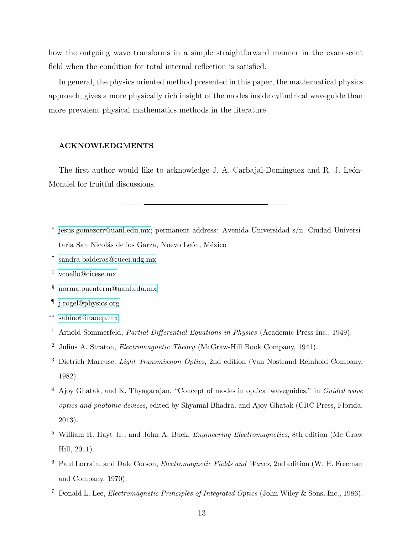how the outgoing wave transforms in a simple straightforward manner in the evanescent field when the condition for total internal reflection is satisfied.

In general, the physics oriented method presented in this paper, the mathematical physics approach, gives a more physically rich insight of the modes inside cylindrical waveguide than more prevalent physical mathematics methods in the literature.

### ACKNOWLEDGMENTS

The first author would like to acknowledge J. A. Carbajal-Domínguez and R. J. León-Montiel for fruitful discussions.

- <span id="page-12-0"></span>∗ [jesus.gomezcrr@uanl.edu.mx;](mailto:jesus.gomezcrr@uanl.edu.mx) permanent address: Avenida Universidad s/n. Ciudad Universitaria San Nicolás de los Garza, Nuevo León, México
- <span id="page-12-1"></span>† [sandra.balderas@cucei.udg.mx](mailto:sandra.balderas@cucei.udg.mx)
- <span id="page-12-2"></span>‡ [vcoello@cicese.mx](mailto:vcoello@cicese.mx)
- <span id="page-12-3"></span>§ [norma.puenterm@uanl.edu.mx](mailto:norma.puenterm@uanl.edu.mx)
- <span id="page-12-4"></span>¶ [j.rogel@physics.org](mailto:j.rogel@physics.org)
- <span id="page-12-5"></span>∗∗ [sabino@inaoep.mx](mailto:sabino@inaoep.mx)
- <span id="page-12-6"></span><sup>1</sup> Arnold Sommerfeld, *Partial Differential Equations in Physics* (Academic Press Inc., 1949).
- <span id="page-12-7"></span><sup>2</sup> Julius A. Straton, Electromagnetic Theory (McGraw-Hill Book Company, 1941).
- <span id="page-12-8"></span><sup>3</sup> Dietrich Marcuse, *Light Transmission Optics*, 2nd edition (Van Nostrand Reinhold Company, 1982).
- <span id="page-12-9"></span><sup>4</sup> Ajoy Ghatak, and K. Thyagarajan, "Concept of modes in optical waveguides," in Guided wave optics and photonic devices, edited by Shyamal Bhadra, and Ajoy Ghatak (CRC Press, Florida, 2013).
- <sup>5</sup> William H. Hayt Jr., and John A. Buck, *Engineering Electromagnetics*, 8th edition (Mc Graw) Hill, 2011).
- <span id="page-12-10"></span><sup>6</sup> Paul Lorrain, and Dale Corson, Electromagnetic Fields and Waves, 2nd edition (W. H. Freeman and Company, 1970).
- <span id="page-12-11"></span><sup>7</sup> Donald L. Lee, Electromagnetic Principles of Integrated Optics (John Wiley & Sons, Inc., 1986).